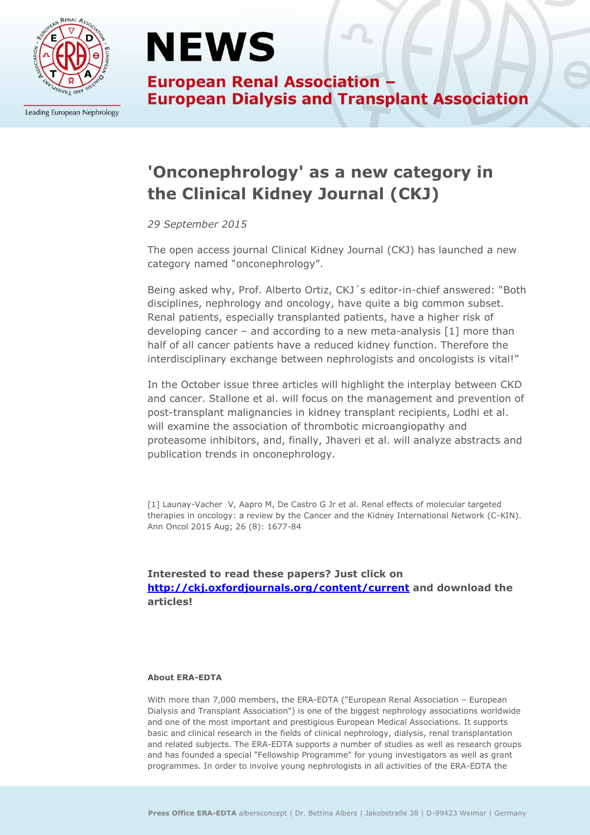

Leading European Nephrology

## **NEWS**

**European Renal Association -European Dialysis and Transplant Association** 

### **'Onconephrology' as a new category in the Clinical Kidney Journal (CKJ)**

*29 September 2015*

The open access journal Clinical Kidney Journal (CKJ) has launched a new category named "onconephrology".

Being asked why, Prof. Alberto Ortiz, CKJ´s editor-in-chief answered: "Both disciplines, nephrology and oncology, have quite a big common subset. Renal patients, especially transplanted patients, have a higher risk of developing cancer – and according to a new meta-analysis [1] more than half of all cancer patients have a reduced kidney function. Therefore the interdisciplinary exchange between nephrologists and oncologists is vital!"

In the October issue three articles will highlight the interplay between CKD and cancer. Stallone et al. will focus on the management and prevention of post-transplant malignancies in kidney transplant recipients, Lodhi et al. will examine the association of thrombotic microangiopathy and proteasome inhibitors, and, finally, Jhaveri et al. will analyze abstracts and publication trends in onconephrology.

[1] Launay-Vacher V, Aapro M, De Castro G Jr et al. Renal effects of molecular targeted therapies in oncology: a review by the Cancer and the Kidney International Network (C-KIN). Ann Oncol 2015 Aug; 26 (8): 1677-84

**Interested to read these papers? Just click on <http://ckj.oxfordjournals.org/content/current> and download the articles!**

#### **About ERA-EDTA**

With more than 7,000 members, the ERA-EDTA ("European Renal Association – European Dialysis and Transplant Association") is one of the biggest nephrology associations worldwide and one of the most important and prestigious European Medical Associations. It supports basic and clinical research in the fields of clinical nephrology, dialysis, renal transplantation and related subjects. The ERA-EDTA supports a number of studies as well as research groups and has founded a special "Fellowship Programme" for young investigators as well as grant programmes. In order to involve young nephrologists in all activities of the ERA-EDTA the